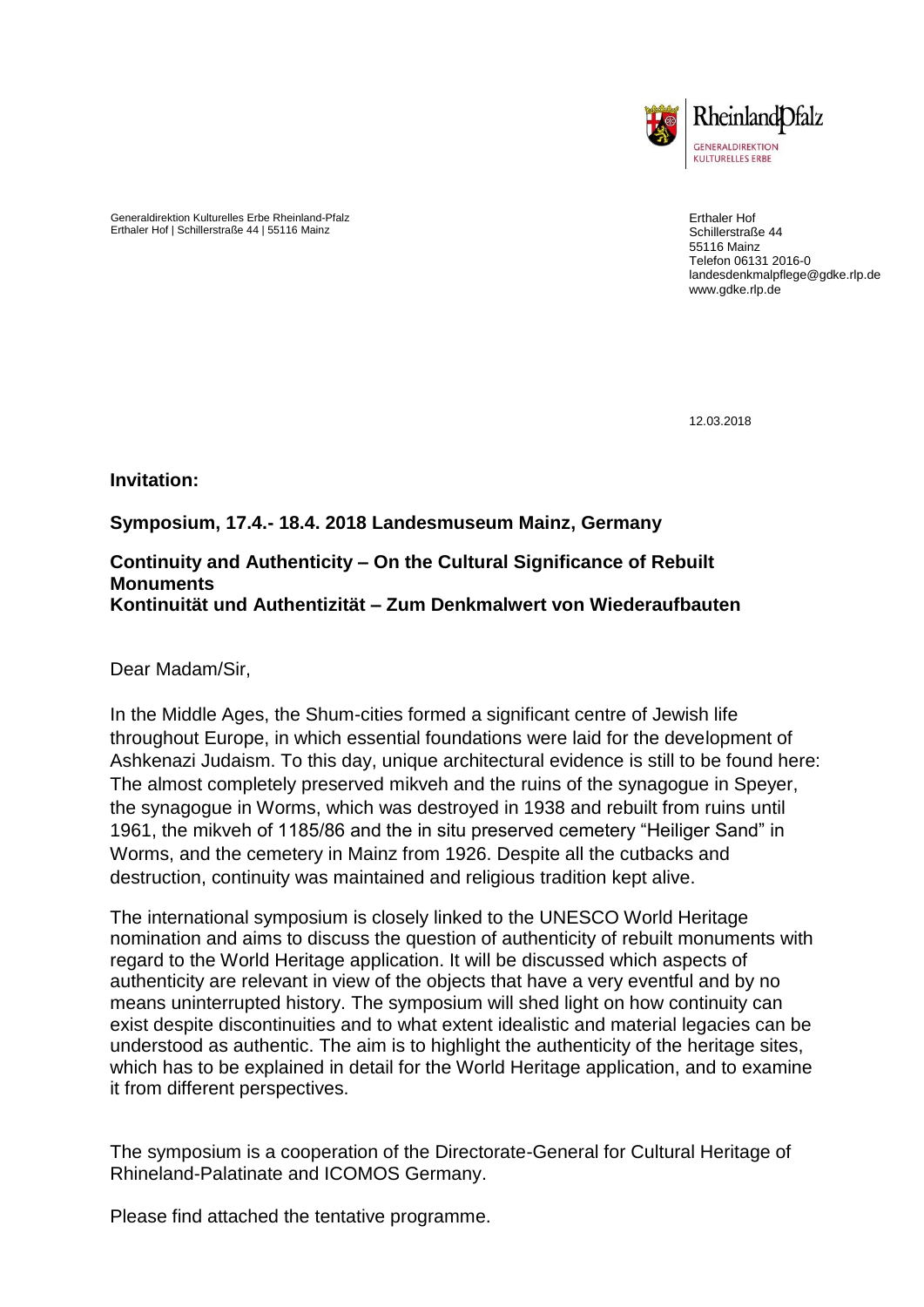

Generaldirektion Kulturelles Erbe Rheinland-Pfalz Erthaler Hof | Schillerstraße 44 | 55116 Mainz

Erthaler Hof Schillerstraße 44 55116 Mainz Telefon 06131 2016-0 landesdenkmalpflege@gdke.rlp.de www.gdke.rlp.de

12.03.2018

**Invitation:**

## **Symposium, 17.4.- 18.4. 2018 Landesmuseum Mainz, Germany**

#### **Continuity and Authenticity – On the Cultural Significance of Rebuilt Monuments Kontinuität und Authentizität – Zum Denkmalwert von Wiederaufbauten**

Dear Madam/Sir,

In the Middle Ages, the Shum-cities formed a significant centre of Jewish life throughout Europe, in which essential foundations were laid for the development of Ashkenazi Judaism. To this day, unique architectural evidence is still to be found here: The almost completely preserved mikveh and the ruins of the synagogue in Speyer, the synagogue in Worms, which was destroyed in 1938 and rebuilt from ruins until 1961, the mikveh of 1185/86 and the in situ preserved cemetery "Heiliger Sand" in Worms, and the cemetery in Mainz from 1926. Despite all the cutbacks and destruction, continuity was maintained and religious tradition kept alive.

The international symposium is closely linked to the UNESCO World Heritage nomination and aims to discuss the question of authenticity of rebuilt monuments with regard to the World Heritage application. It will be discussed which aspects of authenticity are relevant in view of the objects that have a very eventful and by no means uninterrupted history. The symposium will shed light on how continuity can exist despite discontinuities and to what extent idealistic and material legacies can be understood as authentic. The aim is to highlight the authenticity of the heritage sites, which has to be explained in detail for the World Heritage application, and to examine it from different perspectives.

The symposium is a cooperation of the Directorate-General for Cultural Heritage of Rhineland-Palatinate and ICOMOS Germany.

Please find attached the tentative programme.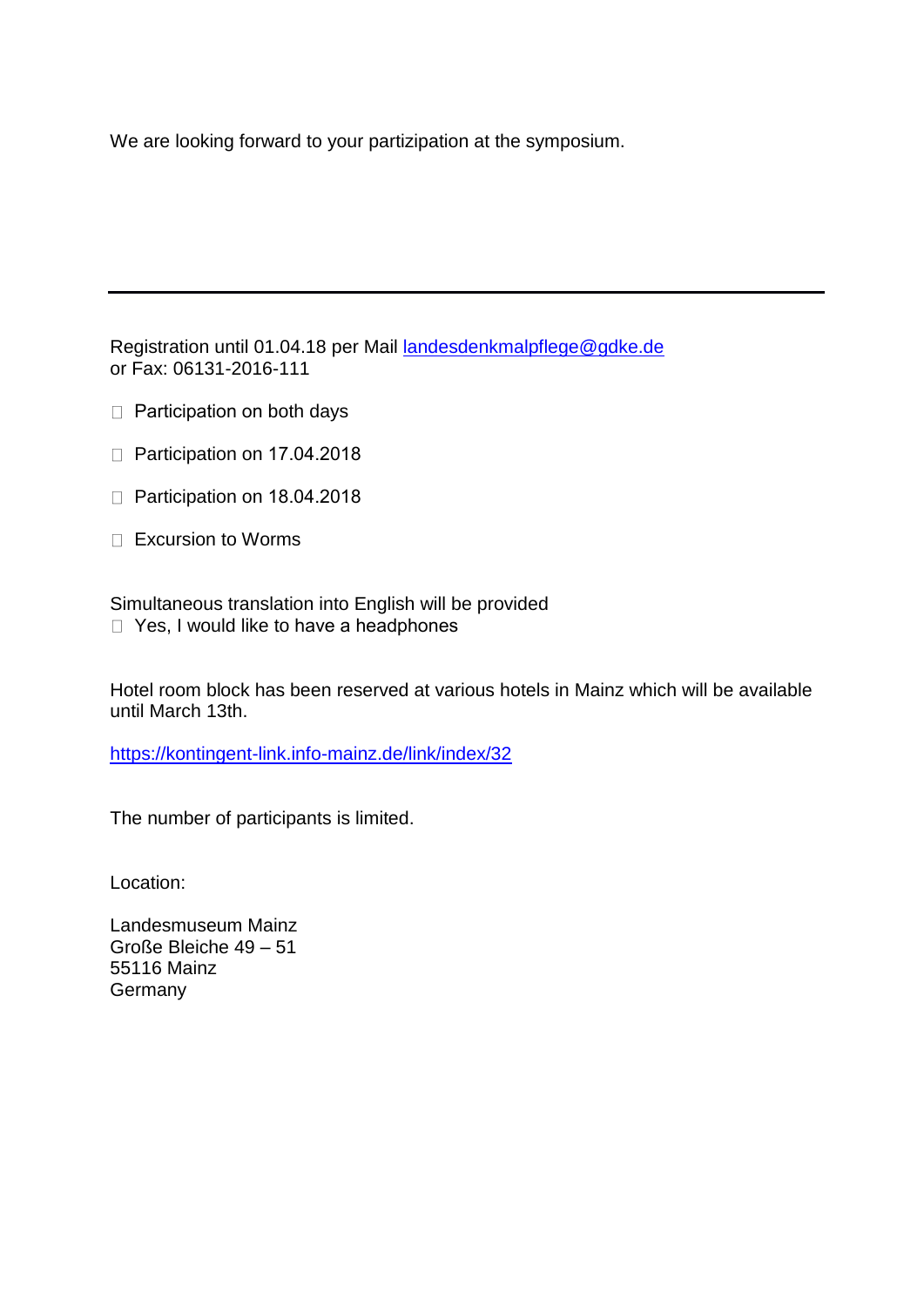We are looking forward to your partizipation at the symposium.

Registration until 01.04.18 per Mail [landesdenkmalpflege@gdke.de](mailto:landesdenkmalpflege@gdke.de) or Fax: 06131-2016-111

- $\Box$  Participation on both days
- $\Box$  Participation on 17.04.2018
- $\Box$  Participation on 18.04.2018
- $\Box$  Excursion to Worms

Simultaneous translation into English will be provided □ Yes, I would like to have a headphones

Hotel room block has been reserved at various hotels in Mainz which will be available until March 13th.

<https://kontingent-link.info-mainz.de/link/index/32>

The number of participants is limited.

Location:

Landesmuseum Mainz Große Bleiche 49 – 51 55116 Mainz Germany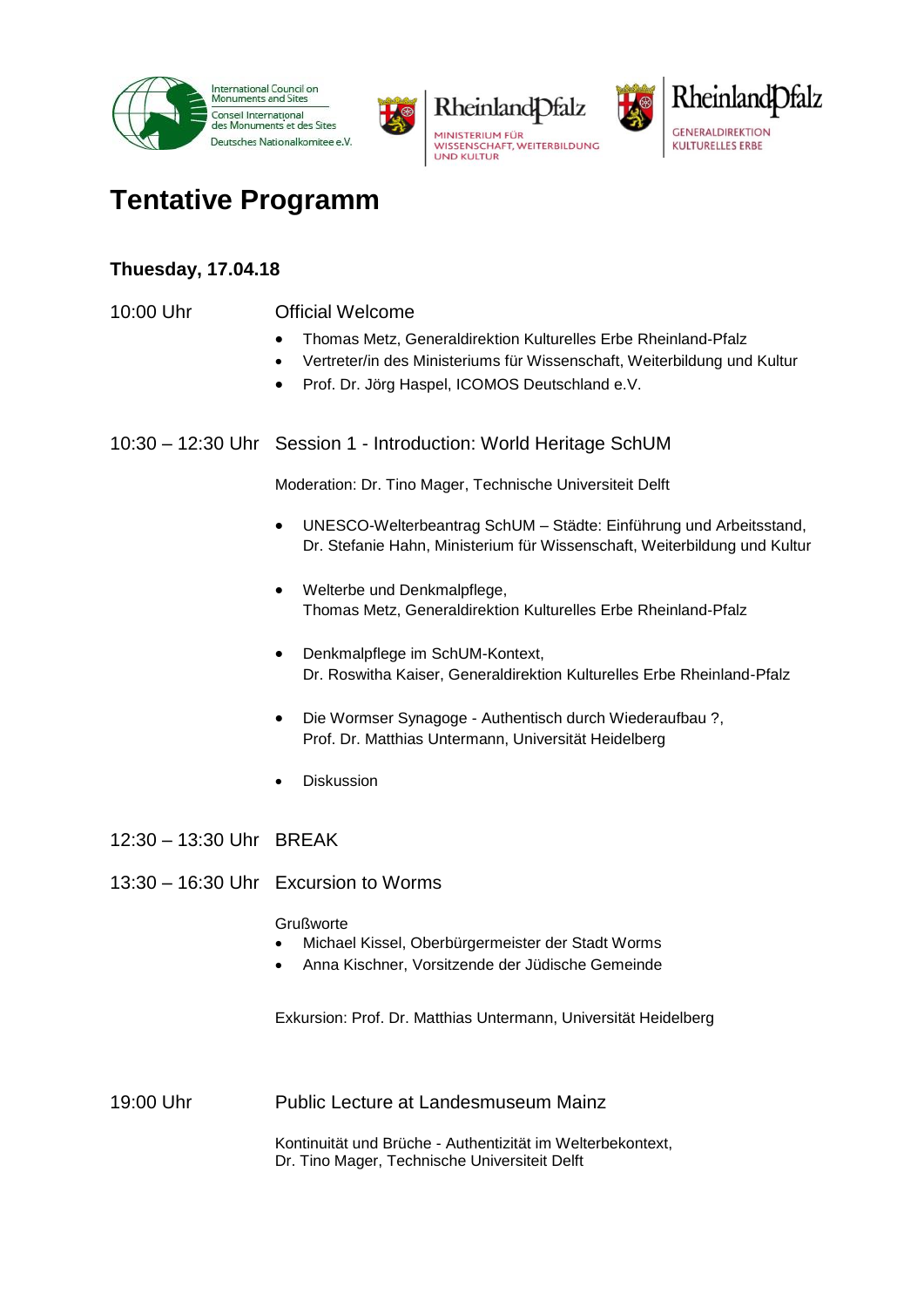





# **Tentative Programm**

## **Thuesday, 17.04.18**

#### 10:00 Uhr Official Welcome

- Thomas Metz, Generaldirektion Kulturelles Erbe Rheinland-Pfalz
- Vertreter/in des Ministeriums für Wissenschaft, Weiterbildung und Kultur
- Prof. Dr. Jörg Haspel, ICOMOS Deutschland e.V.

10:30 – 12:30 Uhr Session 1 - Introduction: World Heritage SchUM

Moderation: Dr. Tino Mager, Technische Universiteit Delft

- UNESCO-Welterbeantrag SchUM Städte: Einführung und Arbeitsstand, Dr. Stefanie Hahn, Ministerium für Wissenschaft, Weiterbildung und Kultur
- Welterbe und Denkmalpflege, Thomas Metz, Generaldirektion Kulturelles Erbe Rheinland-Pfalz
- Denkmalpflege im SchUM-Kontext, Dr. Roswitha Kaiser, Generaldirektion Kulturelles Erbe Rheinland-Pfalz
- Die Wormser Synagoge Authentisch durch Wiederaufbau ?, Prof. Dr. Matthias Untermann, Universität Heidelberg
- Diskussion
- 12:30 13:30 Uhr BREAK
- 13:30 16:30 Uhr Excursion to Worms

**Grußworte** 

- Michael Kissel, Oberbürgermeister der Stadt Worms
- Anna Kischner, Vorsitzende der Jüdische Gemeinde

Exkursion: Prof. Dr. Matthias Untermann, Universität Heidelberg

19:00 Uhr Public Lecture at Landesmuseum Mainz

Kontinuität und Brüche - Authentizität im Welterbekontext, Dr. Tino Mager, Technische Universiteit Delft